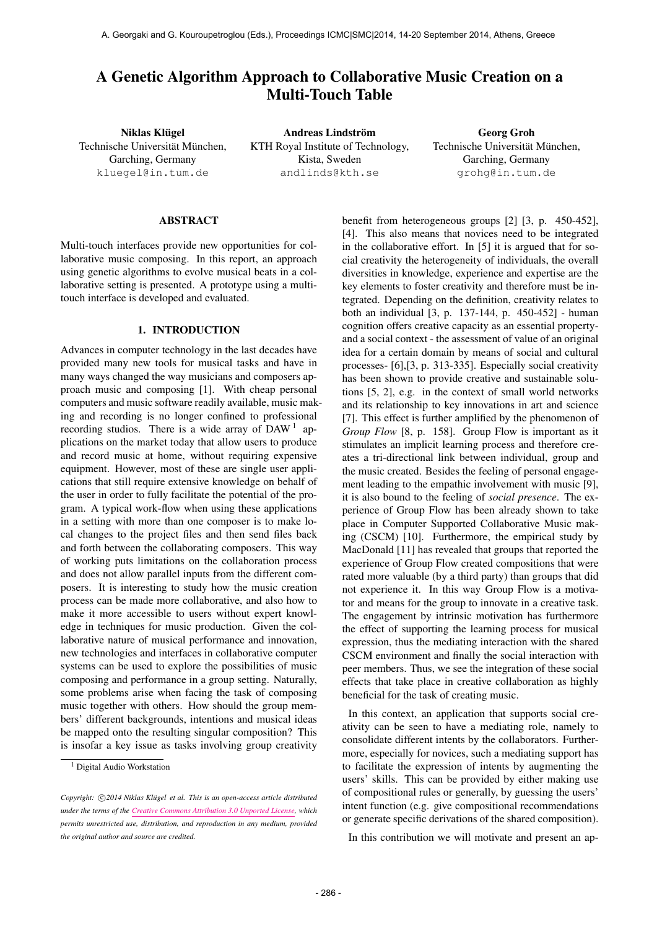# A Genetic Algorithm Approach to Collaborative Music Creation on a Multi-Touch Table

Niklas Klügel Technische Universität München, Garching, Germany [kluegel@in.tum.de](mailto:kluegel@in.tum.de)

Andreas Lindström KTH Royal Institute of Technology, Kista, Sweden [andlinds@kth.se](mailto:andlinds@kth.se)

Georg Groh Technische Universität München, Garching, Germany [grohg@in.tum.de](mailto:grohg@in.tum.de)

### ABSTRACT

Multi-touch interfaces provide new opportunities for collaborative music composing. In this report, an approach using genetic algorithms to evolve musical beats in a collaborative setting is presented. A prototype using a multitouch interface is developed and evaluated.

## 1. INTRODUCTION

Advances in computer technology in the last decades have provided many new tools for musical tasks and have in many ways changed the way musicians and composers approach music and composing [1]. With cheap personal computers and music software readily available, music making and recording is no longer confined to professional recording studios. There is a wide array of DAW<sup>1</sup> applications on the market today that allow users to produce and record music at home, without requiring expensive equipment. However, most of these are single user applications that still require extensive knowledge on behalf of the user in order to fully facilitate the potential of the program. A typical work-flow when using these applications in a setting with more than one composer is to make local changes to the project files and then send files back and forth between the collaborating composers. This way of working puts limitations on the collaboration process and does not allow parallel inputs from the different composers. It is interesting to study how the music creation process can be made more collaborative, and also how to make it more accessible to users without expert knowledge in techniques for music production. Given the collaborative nature of musical performance and innovation, new technologies and interfaces in collaborative computer systems can be used to explore the possibilities of music composing and performance in a group setting. Naturally, some problems arise when facing the task of composing music together with others. How should the group members' different backgrounds, intentions and musical ideas be mapped onto the resulting singular composition? This is insofar a key issue as tasks involving group creativity

benefit from heterogeneous groups [2] [3, p. 450-452], [4]. This also means that novices need to be integrated in the collaborative effort. In [5] it is argued that for social creativity the heterogeneity of individuals, the overall diversities in knowledge, experience and expertise are the key elements to foster creativity and therefore must be integrated. Depending on the definition, creativity relates to both an individual [3, p. 137-144, p. 450-452] - human cognition offers creative capacity as an essential propertyand a social context - the assessment of value of an original idea for a certain domain by means of social and cultural processes- [6],[3, p. 313-335]. Especially social creativity has been shown to provide creative and sustainable solutions [5, 2], e.g. in the context of small world networks and its relationship to key innovations in art and science [7]. This effect is further amplified by the phenomenon of *Group Flow* [8, p. 158]. Group Flow is important as it stimulates an implicit learning process and therefore creates a tri-directional link between individual, group and the music created. Besides the feeling of personal engagement leading to the empathic involvement with music [9], it is also bound to the feeling of *social presence*. The experience of Group Flow has been already shown to take place in Computer Supported Collaborative Music making (CSCM) [10]. Furthermore, the empirical study by MacDonald [11] has revealed that groups that reported the experience of Group Flow created compositions that were rated more valuable (by a third party) than groups that did not experience it. In this way Group Flow is a motivator and means for the group to innovate in a creative task. The engagement by intrinsic motivation has furthermore the effect of supporting the learning process for musical expression, thus the mediating interaction with the shared CSCM environment and finally the social interaction with peer members. Thus, we see the integration of these social effects that take place in creative collaboration as highly beneficial for the task of creating music.

In this context, an application that supports social creativity can be seen to have a mediating role, namely to consolidate different intents by the collaborators. Furthermore, especially for novices, such a mediating support has to facilitate the expression of intents by augmenting the users' skills. This can be provided by either making use of compositional rules or generally, by guessing the users' intent function (e.g. give compositional recommendations or generate specific derivations of the shared composition).

In this contribution we will motivate and present an ap-

<sup>&</sup>lt;sup>1</sup> Digital Audio Workstation

Copyright:  $\bigcirc$ 2014 Niklas Klügel et al. This is an open-access article distributed *under the terms of the [Creative Commons Attribution 3.0 Unported License,](http://creativecommons.org/licenses/by/3.0/) which permits unrestricted use, distribution, and reproduction in any medium, provided the original author and source are credited.*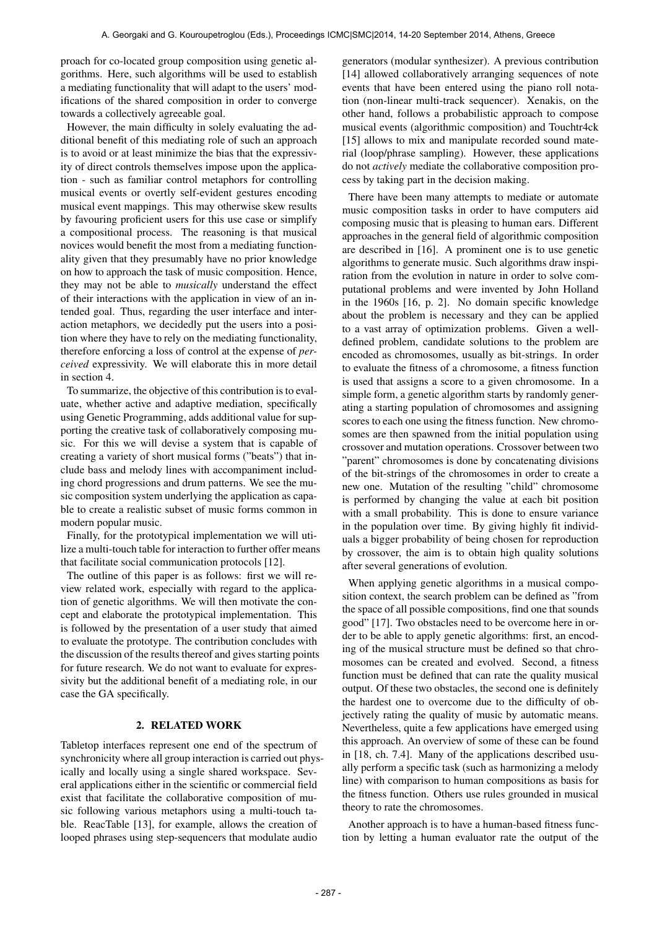proach for co-located group composition using genetic algorithms. Here, such algorithms will be used to establish a mediating functionality that will adapt to the users' modifications of the shared composition in order to converge towards a collectively agreeable goal.

However, the main difficulty in solely evaluating the additional benefit of this mediating role of such an approach is to avoid or at least minimize the bias that the expressivity of direct controls themselves impose upon the application - such as familiar control metaphors for controlling musical events or overtly self-evident gestures encoding musical event mappings. This may otherwise skew results by favouring proficient users for this use case or simplify a compositional process. The reasoning is that musical novices would benefit the most from a mediating functionality given that they presumably have no prior knowledge on how to approach the task of music composition. Hence, they may not be able to *musically* understand the effect of their interactions with the application in view of an intended goal. Thus, regarding the user interface and interaction metaphors, we decidedly put the users into a position where they have to rely on the mediating functionality, therefore enforcing a loss of control at the expense of *perceived* expressivity. We will elaborate this in more detail in section 4.

To summarize, the objective of this contribution is to evaluate, whether active and adaptive mediation, specifically using Genetic Programming, adds additional value for supporting the creative task of collaboratively composing music. For this we will devise a system that is capable of creating a variety of short musical forms ("beats") that include bass and melody lines with accompaniment including chord progressions and drum patterns. We see the music composition system underlying the application as capable to create a realistic subset of music forms common in modern popular music.

Finally, for the prototypical implementation we will utilize a multi-touch table for interaction to further offer means that facilitate social communication protocols [12].

The outline of this paper is as follows: first we will review related work, especially with regard to the application of genetic algorithms. We will then motivate the concept and elaborate the prototypical implementation. This is followed by the presentation of a user study that aimed to evaluate the prototype. The contribution concludes with the discussion of the results thereof and gives starting points for future research. We do not want to evaluate for expressivity but the additional benefit of a mediating role, in our case the GA specifically.

## 2. RELATED WORK

Tabletop interfaces represent one end of the spectrum of synchronicity where all group interaction is carried out physically and locally using a single shared workspace. Several applications either in the scientific or commercial field exist that facilitate the collaborative composition of music following various metaphors using a multi-touch table. ReacTable [13], for example, allows the creation of looped phrases using step-sequencers that modulate audio

generators (modular synthesizer). A previous contribution [14] allowed collaboratively arranging sequences of note events that have been entered using the piano roll notation (non-linear multi-track sequencer). Xenakis, on the other hand, follows a probabilistic approach to compose musical events (algorithmic composition) and Touchtr4ck [15] allows to mix and manipulate recorded sound material (loop/phrase sampling). However, these applications do not *actively* mediate the collaborative composition process by taking part in the decision making.

There have been many attempts to mediate or automate music composition tasks in order to have computers aid composing music that is pleasing to human ears. Different approaches in the general field of algorithmic composition are described in [16]. A prominent one is to use genetic algorithms to generate music. Such algorithms draw inspiration from the evolution in nature in order to solve computational problems and were invented by John Holland in the 1960s [16, p. 2]. No domain specific knowledge about the problem is necessary and they can be applied to a vast array of optimization problems. Given a welldefined problem, candidate solutions to the problem are encoded as chromosomes, usually as bit-strings. In order to evaluate the fitness of a chromosome, a fitness function is used that assigns a score to a given chromosome. In a simple form, a genetic algorithm starts by randomly generating a starting population of chromosomes and assigning scores to each one using the fitness function. New chromosomes are then spawned from the initial population using crossover and mutation operations. Crossover between two "parent" chromosomes is done by concatenating divisions of the bit-strings of the chromosomes in order to create a new one. Mutation of the resulting "child" chromosome is performed by changing the value at each bit position with a small probability. This is done to ensure variance in the population over time. By giving highly fit individuals a bigger probability of being chosen for reproduction by crossover, the aim is to obtain high quality solutions after several generations of evolution.

When applying genetic algorithms in a musical composition context, the search problem can be defined as "from the space of all possible compositions, find one that sounds good" [17]. Two obstacles need to be overcome here in order to be able to apply genetic algorithms: first, an encoding of the musical structure must be defined so that chromosomes can be created and evolved. Second, a fitness function must be defined that can rate the quality musical output. Of these two obstacles, the second one is definitely the hardest one to overcome due to the difficulty of objectively rating the quality of music by automatic means. Nevertheless, quite a few applications have emerged using this approach. An overview of some of these can be found in [18, ch. 7.4]. Many of the applications described usually perform a specific task (such as harmonizing a melody line) with comparison to human compositions as basis for the fitness function. Others use rules grounded in musical theory to rate the chromosomes.

Another approach is to have a human-based fitness function by letting a human evaluator rate the output of the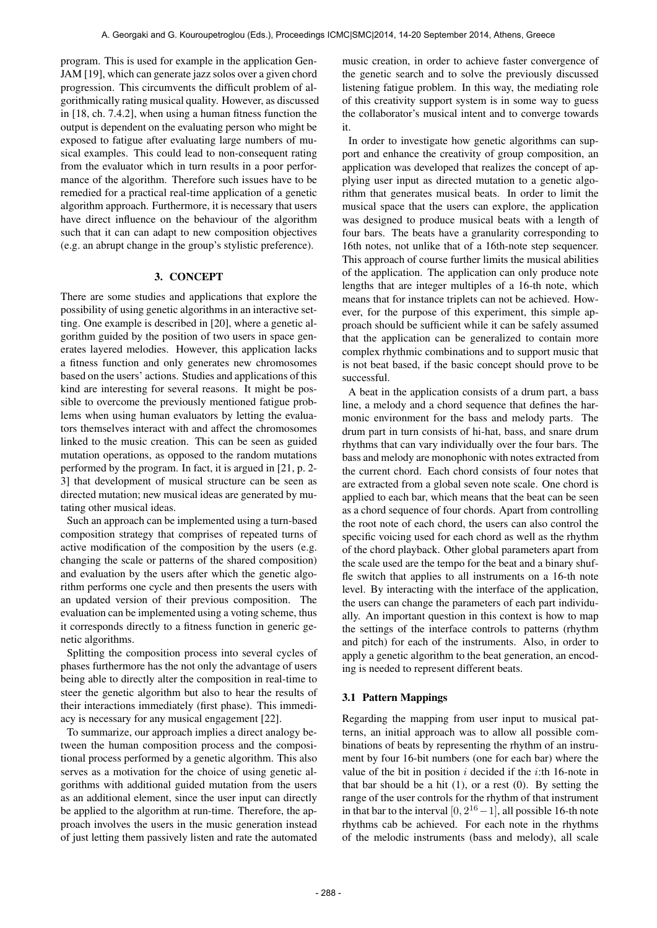program. This is used for example in the application Gen-JAM [19], which can generate jazz solos over a given chord progression. This circumvents the difficult problem of algorithmically rating musical quality. However, as discussed in [18, ch. 7.4.2], when using a human fitness function the output is dependent on the evaluating person who might be exposed to fatigue after evaluating large numbers of musical examples. This could lead to non-consequent rating from the evaluator which in turn results in a poor performance of the algorithm. Therefore such issues have to be remedied for a practical real-time application of a genetic algorithm approach. Furthermore, it is necessary that users have direct influence on the behaviour of the algorithm such that it can can adapt to new composition objectives (e.g. an abrupt change in the group's stylistic preference).

# 3. CONCEPT

There are some studies and applications that explore the possibility of using genetic algorithms in an interactive setting. One example is described in [20], where a genetic algorithm guided by the position of two users in space generates layered melodies. However, this application lacks a fitness function and only generates new chromosomes based on the users' actions. Studies and applications of this kind are interesting for several reasons. It might be possible to overcome the previously mentioned fatigue problems when using human evaluators by letting the evaluators themselves interact with and affect the chromosomes linked to the music creation. This can be seen as guided mutation operations, as opposed to the random mutations performed by the program. In fact, it is argued in [21, p. 2- 3] that development of musical structure can be seen as directed mutation; new musical ideas are generated by mutating other musical ideas.

Such an approach can be implemented using a turn-based composition strategy that comprises of repeated turns of active modification of the composition by the users (e.g. changing the scale or patterns of the shared composition) and evaluation by the users after which the genetic algorithm performs one cycle and then presents the users with an updated version of their previous composition. The evaluation can be implemented using a voting scheme, thus it corresponds directly to a fitness function in generic genetic algorithms.

Splitting the composition process into several cycles of phases furthermore has the not only the advantage of users being able to directly alter the composition in real-time to steer the genetic algorithm but also to hear the results of their interactions immediately (first phase). This immediacy is necessary for any musical engagement [22].

To summarize, our approach implies a direct analogy between the human composition process and the compositional process performed by a genetic algorithm. This also serves as a motivation for the choice of using genetic algorithms with additional guided mutation from the users as an additional element, since the user input can directly be applied to the algorithm at run-time. Therefore, the approach involves the users in the music generation instead of just letting them passively listen and rate the automated music creation, in order to achieve faster convergence of the genetic search and to solve the previously discussed listening fatigue problem. In this way, the mediating role of this creativity support system is in some way to guess the collaborator's musical intent and to converge towards it.

In order to investigate how genetic algorithms can support and enhance the creativity of group composition, an application was developed that realizes the concept of applying user input as directed mutation to a genetic algorithm that generates musical beats. In order to limit the musical space that the users can explore, the application was designed to produce musical beats with a length of four bars. The beats have a granularity corresponding to 16th notes, not unlike that of a 16th-note step sequencer. This approach of course further limits the musical abilities of the application. The application can only produce note lengths that are integer multiples of a 16-th note, which means that for instance triplets can not be achieved. However, for the purpose of this experiment, this simple approach should be sufficient while it can be safely assumed that the application can be generalized to contain more complex rhythmic combinations and to support music that is not beat based, if the basic concept should prove to be successful.

A beat in the application consists of a drum part, a bass line, a melody and a chord sequence that defines the harmonic environment for the bass and melody parts. The drum part in turn consists of hi-hat, bass, and snare drum rhythms that can vary individually over the four bars. The bass and melody are monophonic with notes extracted from the current chord. Each chord consists of four notes that are extracted from a global seven note scale. One chord is applied to each bar, which means that the beat can be seen as a chord sequence of four chords. Apart from controlling the root note of each chord, the users can also control the specific voicing used for each chord as well as the rhythm of the chord playback. Other global parameters apart from the scale used are the tempo for the beat and a binary shuffle switch that applies to all instruments on a 16-th note level. By interacting with the interface of the application, the users can change the parameters of each part individually. An important question in this context is how to map the settings of the interface controls to patterns (rhythm and pitch) for each of the instruments. Also, in order to apply a genetic algorithm to the beat generation, an encoding is needed to represent different beats.

## 3.1 Pattern Mappings

Regarding the mapping from user input to musical patterns, an initial approach was to allow all possible combinations of beats by representing the rhythm of an instrument by four 16-bit numbers (one for each bar) where the value of the bit in position  $i$  decided if the  $i$ :th 16-note in that bar should be a hit  $(1)$ , or a rest  $(0)$ . By setting the range of the user controls for the rhythm of that instrument in that bar to the interval  $[0, 2^{16}-1]$ , all possible 16-th note rhythms cab be achieved. For each note in the rhythms of the melodic instruments (bass and melody), all scale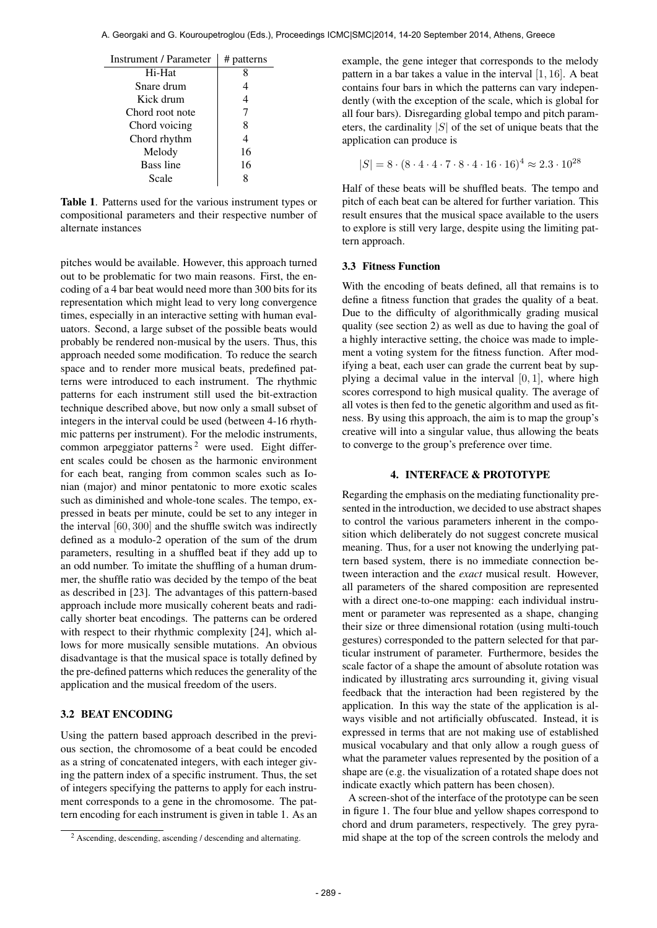Table 1. Patterns used for the various instrument types or compositional parameters and their respective number of alternate instances

pitches would be available. However, this approach turned out to be problematic for two main reasons. First, the encoding of a 4 bar beat would need more than 300 bits for its representation which might lead to very long convergence times, especially in an interactive setting with human evaluators. Second, a large subset of the possible beats would probably be rendered non-musical by the users. Thus, this approach needed some modification. To reduce the search space and to render more musical beats, predefined patterns were introduced to each instrument. The rhythmic patterns for each instrument still used the bit-extraction technique described above, but now only a small subset of integers in the interval could be used (between 4-16 rhythmic patterns per instrument). For the melodic instruments, common arpeggiator patterns<sup>2</sup> were used. Eight different scales could be chosen as the harmonic environment for each beat, ranging from common scales such as Ionian (major) and minor pentatonic to more exotic scales such as diminished and whole-tone scales. The tempo, expressed in beats per minute, could be set to any integer in the interval [60, 300] and the shuffle switch was indirectly defined as a modulo-2 operation of the sum of the drum parameters, resulting in a shuffled beat if they add up to an odd number. To imitate the shuffling of a human drummer, the shuffle ratio was decided by the tempo of the beat as described in [23]. The advantages of this pattern-based approach include more musically coherent beats and radically shorter beat encodings. The patterns can be ordered with respect to their rhythmic complexity [24], which allows for more musically sensible mutations. An obvious disadvantage is that the musical space is totally defined by the pre-defined patterns which reduces the generality of the application and the musical freedom of the users.

## 3.2 BEAT ENCODING

Using the pattern based approach described in the previous section, the chromosome of a beat could be encoded as a string of concatenated integers, with each integer giving the pattern index of a specific instrument. Thus, the set of integers specifying the patterns to apply for each instrument corresponds to a gene in the chromosome. The pattern encoding for each instrument is given in table 1. As an example, the gene integer that corresponds to the melody pattern in a bar takes a value in the interval [1, 16]. A beat contains four bars in which the patterns can vary independently (with the exception of the scale, which is global for all four bars). Disregarding global tempo and pitch parameters, the cardinality  $|S|$  of the set of unique beats that the application can produce is

$$
|S| = 8 \cdot (8 \cdot 4 \cdot 4 \cdot 7 \cdot 8 \cdot 4 \cdot 16 \cdot 16)^4 \approx 2.3 \cdot 10^{28}
$$

Half of these beats will be shuffled beats. The tempo and pitch of each beat can be altered for further variation. This result ensures that the musical space available to the users to explore is still very large, despite using the limiting pattern approach.

#### 3.3 Fitness Function

With the encoding of beats defined, all that remains is to define a fitness function that grades the quality of a beat. Due to the difficulty of algorithmically grading musical quality (see section 2) as well as due to having the goal of a highly interactive setting, the choice was made to implement a voting system for the fitness function. After modifying a beat, each user can grade the current beat by supplying a decimal value in the interval  $[0, 1]$ , where high scores correspond to high musical quality. The average of all votes is then fed to the genetic algorithm and used as fitness. By using this approach, the aim is to map the group's creative will into a singular value, thus allowing the beats to converge to the group's preference over time.

# 4. INTERFACE & PROTOTYPE

Regarding the emphasis on the mediating functionality presented in the introduction, we decided to use abstract shapes to control the various parameters inherent in the composition which deliberately do not suggest concrete musical meaning. Thus, for a user not knowing the underlying pattern based system, there is no immediate connection between interaction and the *exact* musical result. However, all parameters of the shared composition are represented with a direct one-to-one mapping: each individual instrument or parameter was represented as a shape, changing their size or three dimensional rotation (using multi-touch gestures) corresponded to the pattern selected for that particular instrument of parameter. Furthermore, besides the scale factor of a shape the amount of absolute rotation was indicated by illustrating arcs surrounding it, giving visual feedback that the interaction had been registered by the application. In this way the state of the application is always visible and not artificially obfuscated. Instead, it is expressed in terms that are not making use of established musical vocabulary and that only allow a rough guess of what the parameter values represented by the position of a shape are (e.g. the visualization of a rotated shape does not indicate exactly which pattern has been chosen).

A screen-shot of the interface of the prototype can be seen in figure 1. The four blue and yellow shapes correspond to chord and drum parameters, respectively. The grey pyramid shape at the top of the screen controls the melody and

<sup>2</sup> Ascending, descending, ascending / descending and alternating.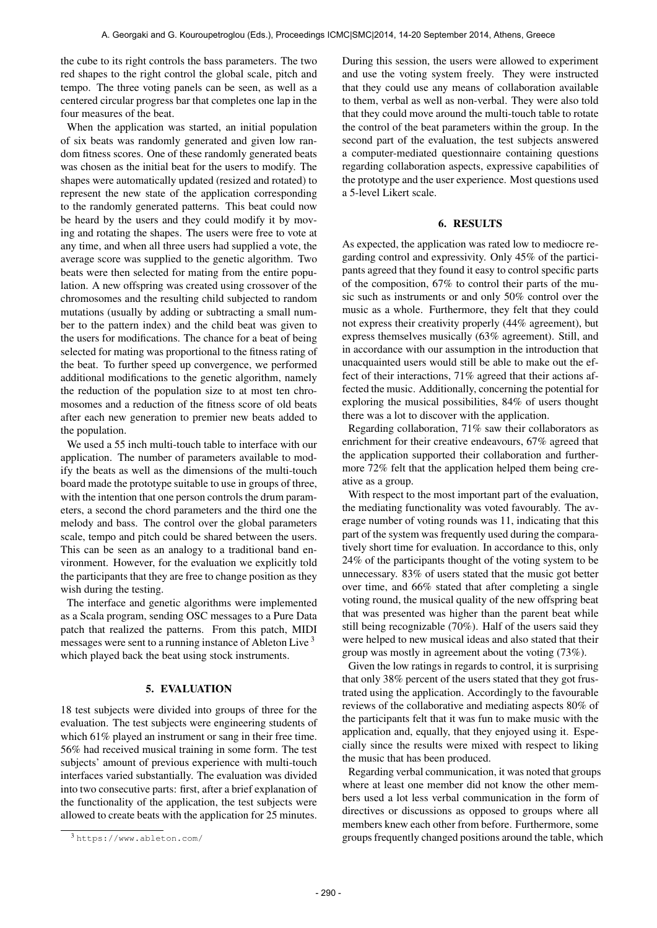the cube to its right controls the bass parameters. The two red shapes to the right control the global scale, pitch and tempo. The three voting panels can be seen, as well as a centered circular progress bar that completes one lap in the four measures of the beat.

When the application was started, an initial population of six beats was randomly generated and given low random fitness scores. One of these randomly generated beats was chosen as the initial beat for the users to modify. The shapes were automatically updated (resized and rotated) to represent the new state of the application corresponding to the randomly generated patterns. This beat could now be heard by the users and they could modify it by moving and rotating the shapes. The users were free to vote at any time, and when all three users had supplied a vote, the average score was supplied to the genetic algorithm. Two beats were then selected for mating from the entire population. A new offspring was created using crossover of the chromosomes and the resulting child subjected to random mutations (usually by adding or subtracting a small number to the pattern index) and the child beat was given to the users for modifications. The chance for a beat of being selected for mating was proportional to the fitness rating of the beat. To further speed up convergence, we performed additional modifications to the genetic algorithm, namely the reduction of the population size to at most ten chromosomes and a reduction of the fitness score of old beats after each new generation to premier new beats added to the population.

We used a 55 inch multi-touch table to interface with our application. The number of parameters available to modify the beats as well as the dimensions of the multi-touch board made the prototype suitable to use in groups of three, with the intention that one person controls the drum parameters, a second the chord parameters and the third one the melody and bass. The control over the global parameters scale, tempo and pitch could be shared between the users. This can be seen as an analogy to a traditional band environment. However, for the evaluation we explicitly told the participants that they are free to change position as they wish during the testing.

The interface and genetic algorithms were implemented as a Scala program, sending OSC messages to a Pure Data patch that realized the patterns. From this patch, MIDI messages were sent to a running instance of Ableton Live<sup>3</sup> which played back the beat using stock instruments.

#### 5. EVALUATION

18 test subjects were divided into groups of three for the evaluation. The test subjects were engineering students of which 61% played an instrument or sang in their free time. 56% had received musical training in some form. The test subjects' amount of previous experience with multi-touch interfaces varied substantially. The evaluation was divided into two consecutive parts: first, after a brief explanation of the functionality of the application, the test subjects were allowed to create beats with the application for 25 minutes.

During this session, the users were allowed to experiment and use the voting system freely. They were instructed that they could use any means of collaboration available to them, verbal as well as non-verbal. They were also told that they could move around the multi-touch table to rotate the control of the beat parameters within the group. In the second part of the evaluation, the test subjects answered a computer-mediated questionnaire containing questions regarding collaboration aspects, expressive capabilities of the prototype and the user experience. Most questions used a 5-level Likert scale.

## 6. RESULTS

As expected, the application was rated low to mediocre regarding control and expressivity. Only 45% of the participants agreed that they found it easy to control specific parts of the composition, 67% to control their parts of the music such as instruments or and only 50% control over the music as a whole. Furthermore, they felt that they could not express their creativity properly (44% agreement), but express themselves musically (63% agreement). Still, and in accordance with our assumption in the introduction that unacquainted users would still be able to make out the effect of their interactions, 71% agreed that their actions affected the music. Additionally, concerning the potential for exploring the musical possibilities, 84% of users thought there was a lot to discover with the application.

Regarding collaboration, 71% saw their collaborators as enrichment for their creative endeavours, 67% agreed that the application supported their collaboration and furthermore 72% felt that the application helped them being creative as a group.

With respect to the most important part of the evaluation, the mediating functionality was voted favourably. The average number of voting rounds was 11, indicating that this part of the system was frequently used during the comparatively short time for evaluation. In accordance to this, only 24% of the participants thought of the voting system to be unnecessary. 83% of users stated that the music got better over time, and 66% stated that after completing a single voting round, the musical quality of the new offspring beat that was presented was higher than the parent beat while still being recognizable (70%). Half of the users said they were helped to new musical ideas and also stated that their group was mostly in agreement about the voting (73%).

Given the low ratings in regards to control, it is surprising that only 38% percent of the users stated that they got frustrated using the application. Accordingly to the favourable reviews of the collaborative and mediating aspects 80% of the participants felt that it was fun to make music with the application and, equally, that they enjoyed using it. Especially since the results were mixed with respect to liking the music that has been produced.

Regarding verbal communication, it was noted that groups where at least one member did not know the other members used a lot less verbal communication in the form of directives or discussions as opposed to groups where all members knew each other from before. Furthermore, some groups frequently changed positions around the table, which

<sup>3</sup> <https://www.ableton.com/>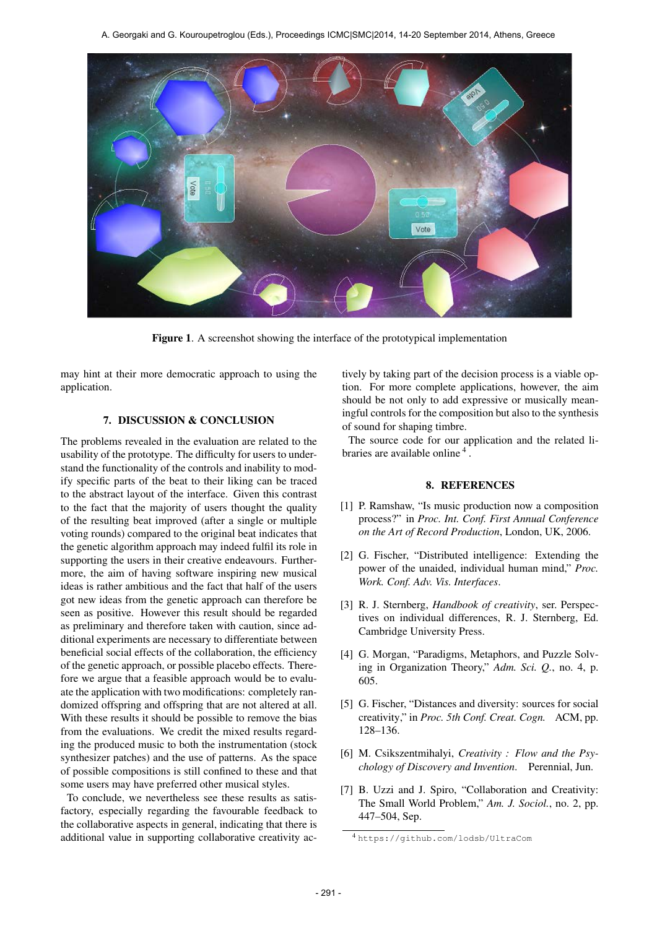

Figure 1. A screenshot showing the interface of the prototypical implementation

may hint at their more democratic approach to using the application.

# 7. DISCUSSION & CONCLUSION

The problems revealed in the evaluation are related to the usability of the prototype. The difficulty for users to understand the functionality of the controls and inability to modify specific parts of the beat to their liking can be traced to the abstract layout of the interface. Given this contrast to the fact that the majority of users thought the quality of the resulting beat improved (after a single or multiple voting rounds) compared to the original beat indicates that the genetic algorithm approach may indeed fulfil its role in supporting the users in their creative endeavours. Furthermore, the aim of having software inspiring new musical ideas is rather ambitious and the fact that half of the users got new ideas from the genetic approach can therefore be seen as positive. However this result should be regarded as preliminary and therefore taken with caution, since additional experiments are necessary to differentiate between beneficial social effects of the collaboration, the efficiency of the genetic approach, or possible placebo effects. Therefore we argue that a feasible approach would be to evaluate the application with two modifications: completely randomized offspring and offspring that are not altered at all. With these results it should be possible to remove the bias from the evaluations. We credit the mixed results regarding the produced music to both the instrumentation (stock synthesizer patches) and the use of patterns. As the space of possible compositions is still confined to these and that some users may have preferred other musical styles.

To conclude, we nevertheless see these results as satisfactory, especially regarding the favourable feedback to the collaborative aspects in general, indicating that there is additional value in supporting collaborative creativity actively by taking part of the decision process is a viable option. For more complete applications, however, the aim should be not only to add expressive or musically meaningful controls for the composition but also to the synthesis of sound for shaping timbre.

The source code for our application and the related libraries are available online<sup>4</sup>.

#### 8. REFERENCES

- [1] P. Ramshaw, "Is music production now a composition process?" in *Proc. Int. Conf. First Annual Conference on the Art of Record Production*, London, UK, 2006.
- [2] G. Fischer, "Distributed intelligence: Extending the power of the unaided, individual human mind," *Proc. Work. Conf. Adv. Vis. Interfaces*.
- [3] R. J. Sternberg, *Handbook of creativity*, ser. Perspectives on individual differences, R. J. Sternberg, Ed. Cambridge University Press.
- [4] G. Morgan, "Paradigms, Metaphors, and Puzzle Solving in Organization Theory," *Adm. Sci. Q.*, no. 4, p. 605.
- [5] G. Fischer, "Distances and diversity: sources for social creativity," in *Proc. 5th Conf. Creat. Cogn.* ACM, pp. 128–136.
- [6] M. Csikszentmihalyi, *Creativity : Flow and the Psychology of Discovery and Invention*. Perennial, Jun.
- [7] B. Uzzi and J. Spiro, "Collaboration and Creativity: The Small World Problem," *Am. J. Sociol.*, no. 2, pp. 447–504, Sep.

<sup>4</sup> <https://github.com/lodsb/UltraCom>